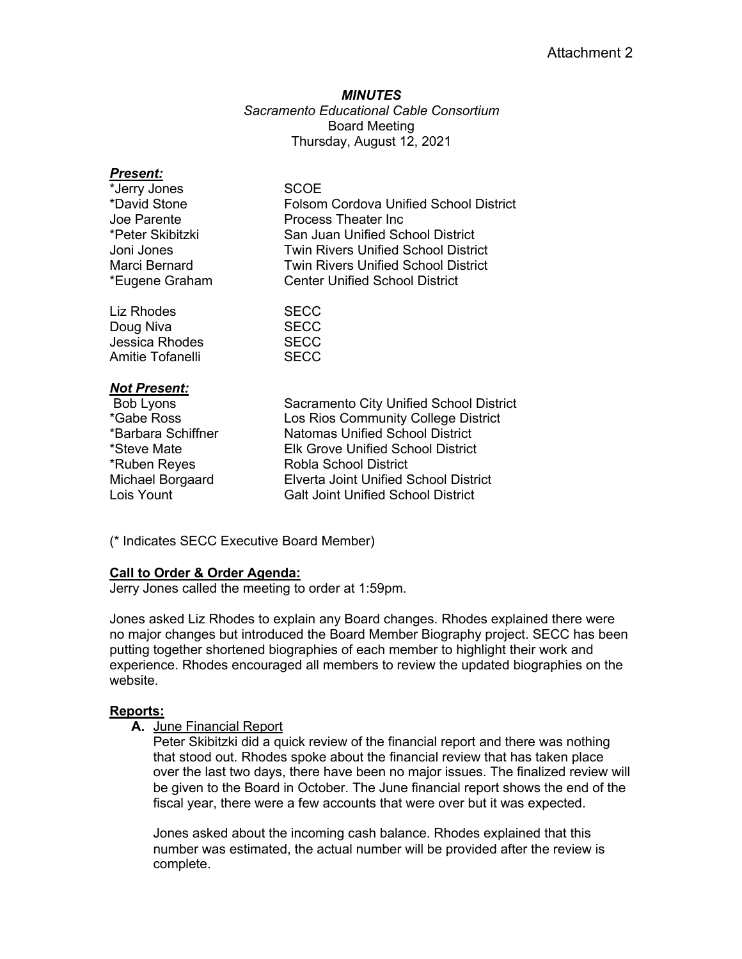# *MINUTES Sacramento Educational Cable Consortium* Board Meeting Thursday, August 12, 2021

| <b>Present:</b>       |                                               |
|-----------------------|-----------------------------------------------|
| *Jerry Jones          | SCOE                                          |
| *David Stone          | <b>Folsom Cordova Unified School District</b> |
| Joe Parente           | <b>Process Theater Inc</b>                    |
| *Peter Skibitzki      | San Juan Unified School District              |
| Joni Jones            | <b>Twin Rivers Unified School District</b>    |
| Marci Bernard         | <b>Twin Rivers Unified School District</b>    |
| *Eugene Graham        | <b>Center Unified School District</b>         |
| Liz Rhodes            | <b>SECC</b>                                   |
| Doug Niva             | <b>SECC</b>                                   |
| <b>Jessica Rhodes</b> | <b>SECC</b>                                   |
| Amitie Tofanelli      | <b>SECC</b>                                   |
| <b>Not Present:</b>   |                                               |
| Bob Lyons             | Sacramento City Unified School District       |
| *Gabe Ross            | Los Rios Community College District           |
| *Barbara Schiffner    | <b>Natomas Unified School District</b>        |
| *Steve Mate           | Elk Grove Unified School District             |
| *Ruben Reyes          | Robla School District                         |
| Michael Borgaard      | <b>Elverta Joint Unified School District</b>  |
| Lois Yount            | <b>Galt Joint Unified School District</b>     |
|                       |                                               |
|                       |                                               |

(\* Indicates SECC Executive Board Member)

# **Call to Order & Order Agenda:**

Jerry Jones called the meeting to order at 1:59pm.

Jones asked Liz Rhodes to explain any Board changes. Rhodes explained there were no major changes but introduced the Board Member Biography project. SECC has been putting together shortened biographies of each member to highlight their work and experience. Rhodes encouraged all members to review the updated biographies on the website.

# **Reports:**

**A.** June Financial Report

Peter Skibitzki did a quick review of the financial report and there was nothing that stood out. Rhodes spoke about the financial review that has taken place over the last two days, there have been no major issues. The finalized review will be given to the Board in October. The June financial report shows the end of the fiscal year, there were a few accounts that were over but it was expected.

Jones asked about the incoming cash balance. Rhodes explained that this number was estimated, the actual number will be provided after the review is complete.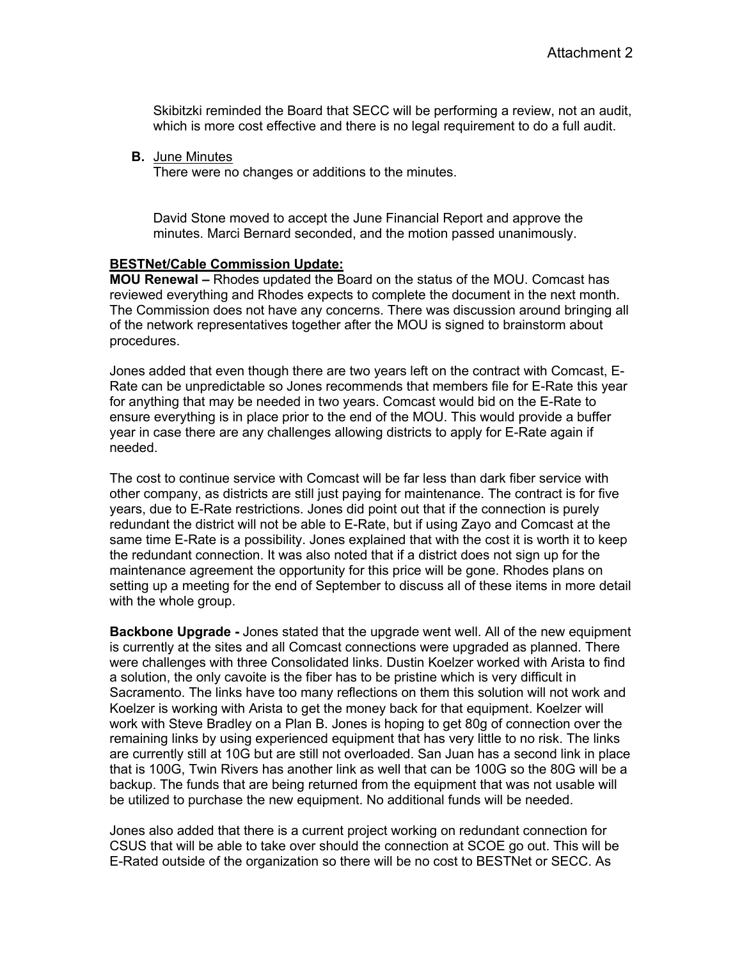Skibitzki reminded the Board that SECC will be performing a review, not an audit, which is more cost effective and there is no legal requirement to do a full audit.

**B.** June Minutes

There were no changes or additions to the minutes.

David Stone moved to accept the June Financial Report and approve the minutes. Marci Bernard seconded, and the motion passed unanimously.

#### **BESTNet/Cable Commission Update:**

**MOU Renewal –** Rhodes updated the Board on the status of the MOU. Comcast has reviewed everything and Rhodes expects to complete the document in the next month. The Commission does not have any concerns. There was discussion around bringing all of the network representatives together after the MOU is signed to brainstorm about procedures.

Jones added that even though there are two years left on the contract with Comcast, E-Rate can be unpredictable so Jones recommends that members file for E-Rate this year for anything that may be needed in two years. Comcast would bid on the E-Rate to ensure everything is in place prior to the end of the MOU. This would provide a buffer year in case there are any challenges allowing districts to apply for E-Rate again if needed.

The cost to continue service with Comcast will be far less than dark fiber service with other company, as districts are still just paying for maintenance. The contract is for five years, due to E-Rate restrictions. Jones did point out that if the connection is purely redundant the district will not be able to E-Rate, but if using Zayo and Comcast at the same time E-Rate is a possibility. Jones explained that with the cost it is worth it to keep the redundant connection. It was also noted that if a district does not sign up for the maintenance agreement the opportunity for this price will be gone. Rhodes plans on setting up a meeting for the end of September to discuss all of these items in more detail with the whole group.

**Backbone Upgrade -** Jones stated that the upgrade went well. All of the new equipment is currently at the sites and all Comcast connections were upgraded as planned. There were challenges with three Consolidated links. Dustin Koelzer worked with Arista to find a solution, the only cavoite is the fiber has to be pristine which is very difficult in Sacramento. The links have too many reflections on them this solution will not work and Koelzer is working with Arista to get the money back for that equipment. Koelzer will work with Steve Bradley on a Plan B. Jones is hoping to get 80g of connection over the remaining links by using experienced equipment that has very little to no risk. The links are currently still at 10G but are still not overloaded. San Juan has a second link in place that is 100G, Twin Rivers has another link as well that can be 100G so the 80G will be a backup. The funds that are being returned from the equipment that was not usable will be utilized to purchase the new equipment. No additional funds will be needed.

Jones also added that there is a current project working on redundant connection for CSUS that will be able to take over should the connection at SCOE go out. This will be E-Rated outside of the organization so there will be no cost to BESTNet or SECC. As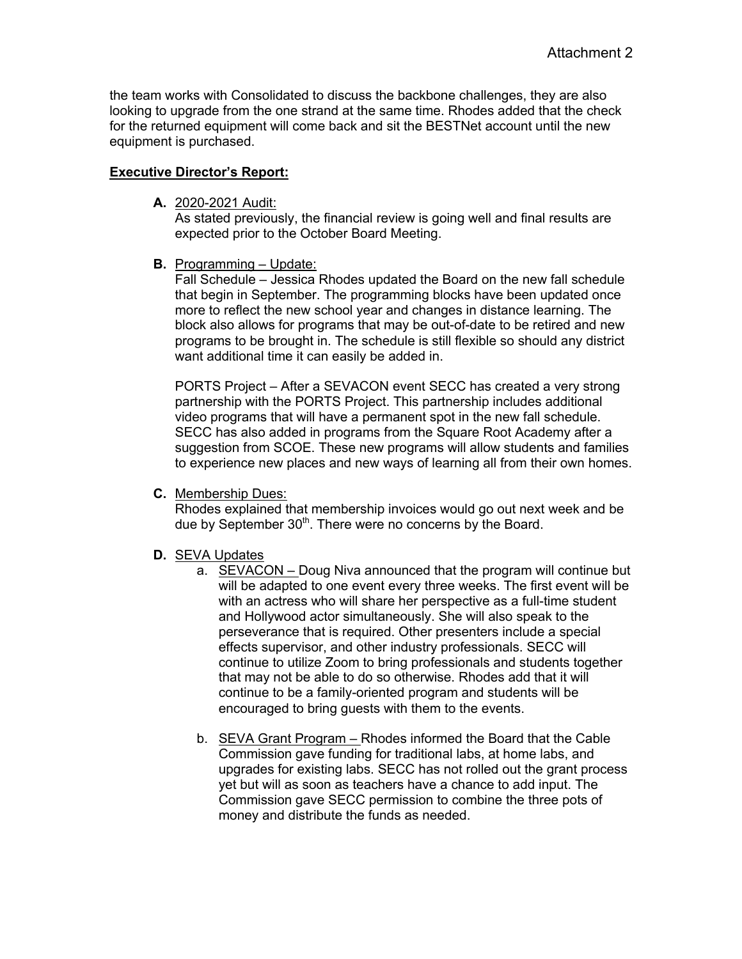the team works with Consolidated to discuss the backbone challenges, they are also looking to upgrade from the one strand at the same time. Rhodes added that the check for the returned equipment will come back and sit the BESTNet account until the new equipment is purchased.

# **Executive Director's Report:**

**A.** 2020-2021 Audit:

As stated previously, the financial review is going well and final results are expected prior to the October Board Meeting.

**B.** Programming – Update:

Fall Schedule – Jessica Rhodes updated the Board on the new fall schedule that begin in September. The programming blocks have been updated once more to reflect the new school year and changes in distance learning. The block also allows for programs that may be out-of-date to be retired and new programs to be brought in. The schedule is still flexible so should any district want additional time it can easily be added in.

PORTS Project – After a SEVACON event SECC has created a very strong partnership with the PORTS Project. This partnership includes additional video programs that will have a permanent spot in the new fall schedule. SECC has also added in programs from the Square Root Academy after a suggestion from SCOE. These new programs will allow students and families to experience new places and new ways of learning all from their own homes.

**C.** Membership Dues:

Rhodes explained that membership invoices would go out next week and be due by September 30<sup>th</sup>. There were no concerns by the Board.

- **D.** SEVA Updates
	- a. SEVACON Doug Niva announced that the program will continue but will be adapted to one event every three weeks. The first event will be with an actress who will share her perspective as a full-time student and Hollywood actor simultaneously. She will also speak to the perseverance that is required. Other presenters include a special effects supervisor, and other industry professionals. SECC will continue to utilize Zoom to bring professionals and students together that may not be able to do so otherwise. Rhodes add that it will continue to be a family-oriented program and students will be encouraged to bring guests with them to the events.
	- b. SEVA Grant Program Rhodes informed the Board that the Cable Commission gave funding for traditional labs, at home labs, and upgrades for existing labs. SECC has not rolled out the grant process yet but will as soon as teachers have a chance to add input. The Commission gave SECC permission to combine the three pots of money and distribute the funds as needed.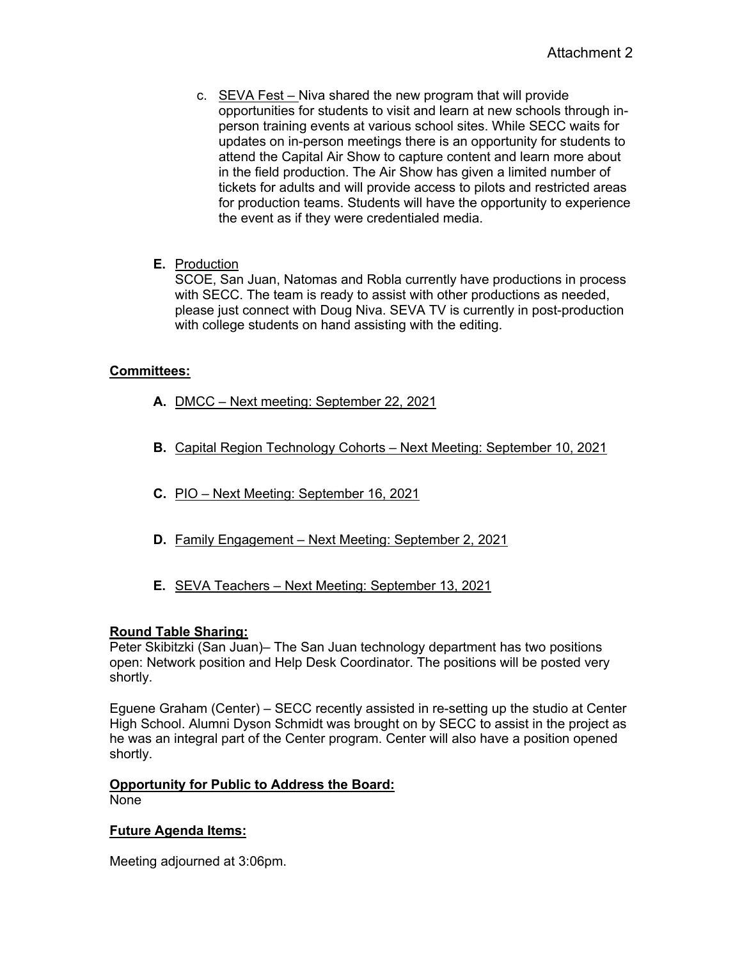- c. SEVA Fest Niva shared the new program that will provide opportunities for students to visit and learn at new schools through inperson training events at various school sites. While SECC waits for updates on in-person meetings there is an opportunity for students to attend the Capital Air Show to capture content and learn more about in the field production. The Air Show has given a limited number of tickets for adults and will provide access to pilots and restricted areas for production teams. Students will have the opportunity to experience the event as if they were credentialed media.
- **E.** Production

SCOE, San Juan, Natomas and Robla currently have productions in process with SECC. The team is ready to assist with other productions as needed, please just connect with Doug Niva. SEVA TV is currently in post-production with college students on hand assisting with the editing.

# **Committees:**

- **A.** DMCC Next meeting: September 22, 2021
- **B.** Capital Region Technology Cohorts Next Meeting: September 10, 2021
- **C.** PIO Next Meeting: September 16, 2021
- **D.** Family Engagement Next Meeting: September 2, 2021
- **E.** SEVA Teachers Next Meeting: September 13, 2021

# **Round Table Sharing:**

Peter Skibitzki (San Juan)– The San Juan technology department has two positions open: Network position and Help Desk Coordinator. The positions will be posted very shortly.

Eguene Graham (Center) – SECC recently assisted in re-setting up the studio at Center High School. Alumni Dyson Schmidt was brought on by SECC to assist in the project as he was an integral part of the Center program. Center will also have a position opened shortly.

#### **Opportunity for Public to Address the Board:** None

# **Future Agenda Items:**

Meeting adjourned at 3:06pm.